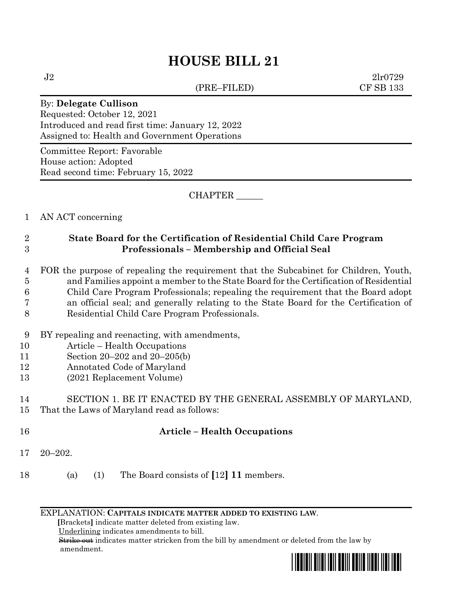# **HOUSE BILL 21**

(PRE–FILED) CF SB 133

 $J2 \t2l r0729$ 

#### By: **Delegate Cullison**

Requested: October 12, 2021 Introduced and read first time: January 12, 2022 Assigned to: Health and Government Operations

Committee Report: Favorable House action: Adopted Read second time: February 15, 2022

CHAPTER \_\_\_\_\_\_

### 1 AN ACT concerning

## 2 **State Board for the Certification of Residential Child Care Program**  3 **Professionals – Membership and Official Seal**

 FOR the purpose of repealing the requirement that the Subcabinet for Children, Youth, and Families appoint a member to the State Board for the Certification of Residential Child Care Program Professionals; repealing the requirement that the Board adopt an official seal; and generally relating to the State Board for the Certification of

- 8 Residential Child Care Program Professionals.
- 9 BY repealing and reenacting, with amendments,
- 10 Article Health Occupations
- 11 Section 20–202 and 20–205(b)
- 12 Annotated Code of Maryland
- 13 (2021 Replacement Volume)

## 14 SECTION 1. BE IT ENACTED BY THE GENERAL ASSEMBLY OF MARYLAND, 15 That the Laws of Maryland read as follows:

### 16 **Article – Health Occupations**

- 17 20–202.
- 18 (a) (1) The Board consists of **[**12**] 11** members.

EXPLANATION: **CAPITALS INDICATE MATTER ADDED TO EXISTING LAW**.

 **[**Brackets**]** indicate matter deleted from existing law.

Underlining indicates amendments to bill.

 Strike out indicates matter stricken from the bill by amendment or deleted from the law by amendment.

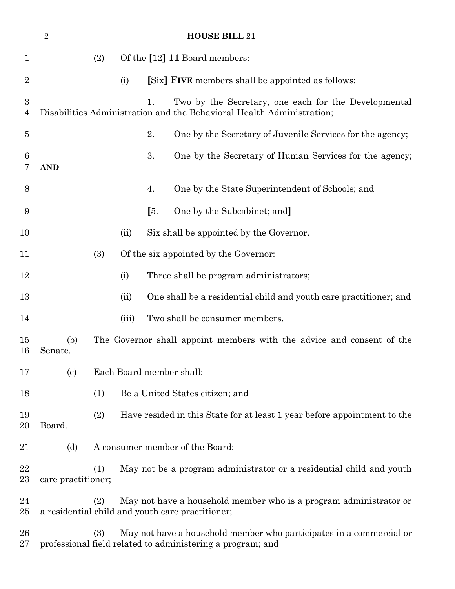|                                    | $\overline{2}$                                                                                   |                                                                                                                                          |       |     | <b>HOUSE BILL 21</b>                                                                                                          |  |
|------------------------------------|--------------------------------------------------------------------------------------------------|------------------------------------------------------------------------------------------------------------------------------------------|-------|-----|-------------------------------------------------------------------------------------------------------------------------------|--|
| $\mathbf 1$                        |                                                                                                  | Of the [12] 11 Board members:<br>(2)                                                                                                     |       |     |                                                                                                                               |  |
| $\overline{2}$                     |                                                                                                  |                                                                                                                                          | (i)   |     | [Six] <b>FIVE</b> members shall be appointed as follows:                                                                      |  |
| $\boldsymbol{3}$<br>$\overline{4}$ |                                                                                                  |                                                                                                                                          |       | 1.  | Two by the Secretary, one each for the Developmental<br>Disabilities Administration and the Behavioral Health Administration; |  |
| $\overline{5}$                     |                                                                                                  |                                                                                                                                          |       | 2.  | One by the Secretary of Juvenile Services for the agency;                                                                     |  |
| 6<br>7                             | <b>AND</b>                                                                                       |                                                                                                                                          |       | 3.  | One by the Secretary of Human Services for the agency;                                                                        |  |
| 8                                  |                                                                                                  |                                                                                                                                          |       | 4.  | One by the State Superintendent of Schools; and                                                                               |  |
| 9                                  |                                                                                                  |                                                                                                                                          |       | [5. | One by the Subcabinet; and                                                                                                    |  |
| 10                                 |                                                                                                  |                                                                                                                                          | (ii)  |     | Six shall be appointed by the Governor.                                                                                       |  |
| 11                                 |                                                                                                  | (3)<br>Of the six appointed by the Governor:                                                                                             |       |     |                                                                                                                               |  |
| 12                                 |                                                                                                  |                                                                                                                                          | (i)   |     | Three shall be program administrators;                                                                                        |  |
| 13                                 |                                                                                                  |                                                                                                                                          | (ii)  |     | One shall be a residential child and youth care practitioner; and                                                             |  |
| 14                                 |                                                                                                  |                                                                                                                                          | (iii) |     | Two shall be consumer members.                                                                                                |  |
| 15<br>16                           | (b)<br>Senate.                                                                                   | The Governor shall appoint members with the advice and consent of the                                                                    |       |     |                                                                                                                               |  |
| 17                                 | $\left( \text{c}\right)$                                                                         | Each Board member shall:                                                                                                                 |       |     |                                                                                                                               |  |
| 18                                 |                                                                                                  | (1)                                                                                                                                      |       |     | Be a United States citizen; and                                                                                               |  |
| 19<br>20                           | Board.                                                                                           | (2)<br>Have resided in this State for at least 1 year before appointment to the                                                          |       |     |                                                                                                                               |  |
| 21                                 | (d)                                                                                              | A consumer member of the Board:                                                                                                          |       |     |                                                                                                                               |  |
| 22<br>$23\,$                       | May not be a program administrator or a residential child and youth<br>(1)<br>care practitioner; |                                                                                                                                          |       |     |                                                                                                                               |  |
| 24<br>$25\,$                       |                                                                                                  | (2)                                                                                                                                      |       |     | May not have a household member who is a program administrator or<br>a residential child and youth care practitioner;         |  |
| 26<br>$27\,$                       |                                                                                                  | May not have a household member who participates in a commercial or<br>(3)<br>professional field related to administering a program; and |       |     |                                                                                                                               |  |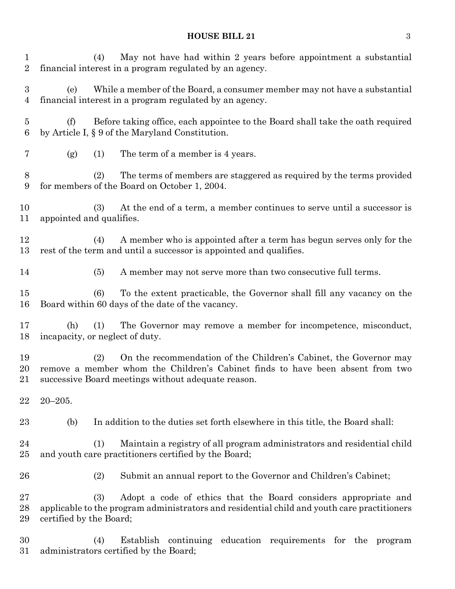# **HOUSE BILL 21** 3

| $\mathbf 1$<br>$\overline{2}$      | May not have had within 2 years before appointment a substantial<br>(4)<br>financial interest in a program regulated by an agency.                                                                               |  |  |  |  |  |
|------------------------------------|------------------------------------------------------------------------------------------------------------------------------------------------------------------------------------------------------------------|--|--|--|--|--|
| $\boldsymbol{3}$<br>4              | While a member of the Board, a consumer member may not have a substantial<br>(e)<br>financial interest in a program regulated by an agency.                                                                      |  |  |  |  |  |
| $\overline{5}$<br>$\boldsymbol{6}$ | Before taking office, each appointee to the Board shall take the oath required<br>(f)<br>by Article I, § 9 of the Maryland Constitution.                                                                         |  |  |  |  |  |
| $\overline{7}$                     | The term of a member is 4 years.<br>(g)<br>(1)                                                                                                                                                                   |  |  |  |  |  |
| 8<br>9                             | The terms of members are staggered as required by the terms provided<br>(2)<br>for members of the Board on October 1, 2004.                                                                                      |  |  |  |  |  |
| 10<br>11                           | At the end of a term, a member continues to serve until a successor is<br>(3)<br>appointed and qualifies.                                                                                                        |  |  |  |  |  |
| 12<br>13                           | A member who is appointed after a term has begun serves only for the<br>(4)<br>rest of the term and until a successor is appointed and qualifies.                                                                |  |  |  |  |  |
| 14                                 | (5)<br>A member may not serve more than two consecutive full terms.                                                                                                                                              |  |  |  |  |  |
| 15<br>16                           | To the extent practicable, the Governor shall fill any vacancy on the<br>(6)<br>Board within 60 days of the date of the vacancy.                                                                                 |  |  |  |  |  |
| 17<br>18                           | The Governor may remove a member for incompetence, misconduct,<br>(h)<br>(1)<br>incapacity, or neglect of duty.                                                                                                  |  |  |  |  |  |
| 19<br>20<br>$21\,$                 | On the recommendation of the Children's Cabinet, the Governor may<br>(2)<br>remove a member whom the Children's Cabinet finds to have been absent from two<br>successive Board meetings without adequate reason. |  |  |  |  |  |
| 22                                 | $20 - 205.$                                                                                                                                                                                                      |  |  |  |  |  |
| 23                                 | (b)<br>In addition to the duties set forth elsewhere in this title, the Board shall:                                                                                                                             |  |  |  |  |  |
| 24<br>25                           | Maintain a registry of all program administrators and residential child<br>(1)<br>and youth care practitioners certified by the Board;                                                                           |  |  |  |  |  |
| 26                                 | Submit an annual report to the Governor and Children's Cabinet;<br>(2)                                                                                                                                           |  |  |  |  |  |
| 27<br>28<br>29                     | (3)<br>Adopt a code of ethics that the Board considers appropriate and<br>applicable to the program administrators and residential child and youth care practitioners<br>certified by the Board;                 |  |  |  |  |  |
| 30<br>31                           | continuing education requirements for the<br>Establish<br>(4)<br>program<br>administrators certified by the Board;                                                                                               |  |  |  |  |  |